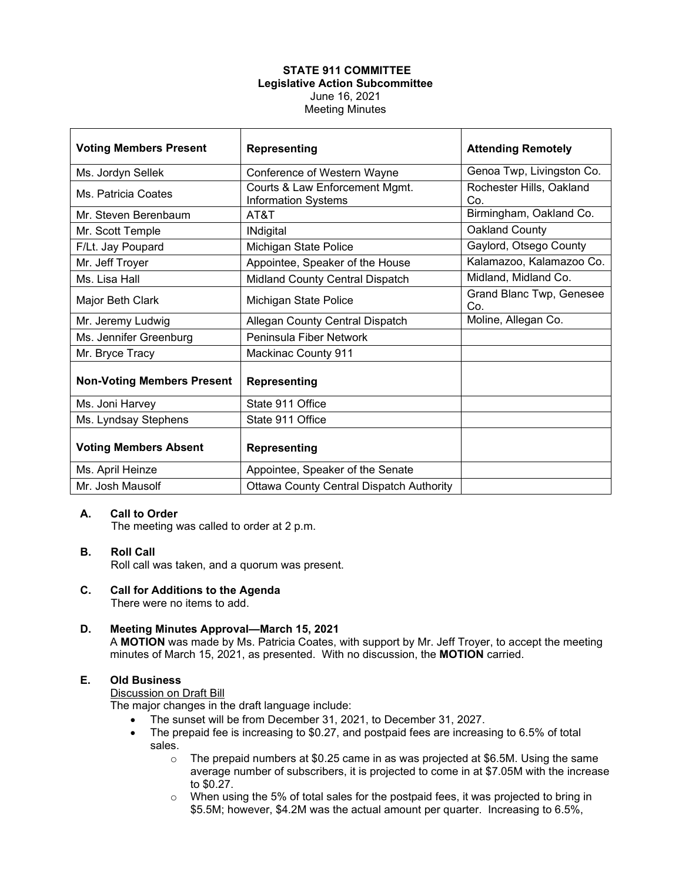### **STATE 911 COMMITTEE Legislative Action Subcommittee** June 16, 2021 Meeting Minutes

| <b>Voting Members Present</b>     | <b>Representing</b>                                          | <b>Attending Remotely</b>       |
|-----------------------------------|--------------------------------------------------------------|---------------------------------|
| Ms. Jordyn Sellek                 | Conference of Western Wayne                                  | Genoa Twp, Livingston Co.       |
| Ms. Patricia Coates               | Courts & Law Enforcement Mgmt.<br><b>Information Systems</b> | Rochester Hills, Oakland<br>Co. |
| Mr. Steven Berenbaum              | AT&T                                                         | Birmingham, Oakland Co.         |
| Mr. Scott Temple                  | <b>INdigital</b>                                             | Oakland County                  |
| F/Lt. Jay Poupard                 | Michigan State Police                                        | Gaylord, Otsego County          |
| Mr. Jeff Troyer                   | Appointee, Speaker of the House                              | Kalamazoo, Kalamazoo Co.        |
| Ms. Lisa Hall                     | Midland County Central Dispatch                              | Midland, Midland Co.            |
| Major Beth Clark                  | Michigan State Police                                        | Grand Blanc Twp, Genesee<br>Co. |
| Mr. Jeremy Ludwig                 | Allegan County Central Dispatch                              | Moline, Allegan Co.             |
| Ms. Jennifer Greenburg            | Peninsula Fiber Network                                      |                                 |
| Mr. Bryce Tracy                   | <b>Mackinac County 911</b>                                   |                                 |
| <b>Non-Voting Members Present</b> | <b>Representing</b>                                          |                                 |
| Ms. Joni Harvey                   | State 911 Office                                             |                                 |
| Ms. Lyndsay Stephens              | State 911 Office                                             |                                 |
| <b>Voting Members Absent</b>      | <b>Representing</b>                                          |                                 |
| Ms. April Heinze                  | Appointee, Speaker of the Senate                             |                                 |
| Mr. Josh Mausolf                  | <b>Ottawa County Central Dispatch Authority</b>              |                                 |

## **A. Call to Order**

The meeting was called to order at 2 p.m.

#### **B. Roll Call**

Roll call was taken, and a quorum was present.

# **C. Call for Additions to the Agenda**

There were no items to add.

#### **D. Meeting Minutes Approval—March 15, 2021**

A **MOTION** was made by Ms. Patricia Coates, with support by Mr. Jeff Troyer, to accept the meeting minutes of March 15, 2021, as presented. With no discussion, the **MOTION** carried.

# **E. Old Business**

Discussion on Draft Bill

The major changes in the draft language include:

- The sunset will be from December 31, 2021, to December 31, 2027.
- The prepaid fee is increasing to \$0.27, and postpaid fees are increasing to 6.5% of total sales.
	- $\circ$  The prepaid numbers at \$0.25 came in as was projected at \$6.5M. Using the same average number of subscribers, it is projected to come in at \$7.05M with the increase to \$0.27.
	- $\circ$  When using the 5% of total sales for the postpaid fees, it was projected to bring in \$5.5M; however, \$4.2M was the actual amount per quarter. Increasing to 6.5%,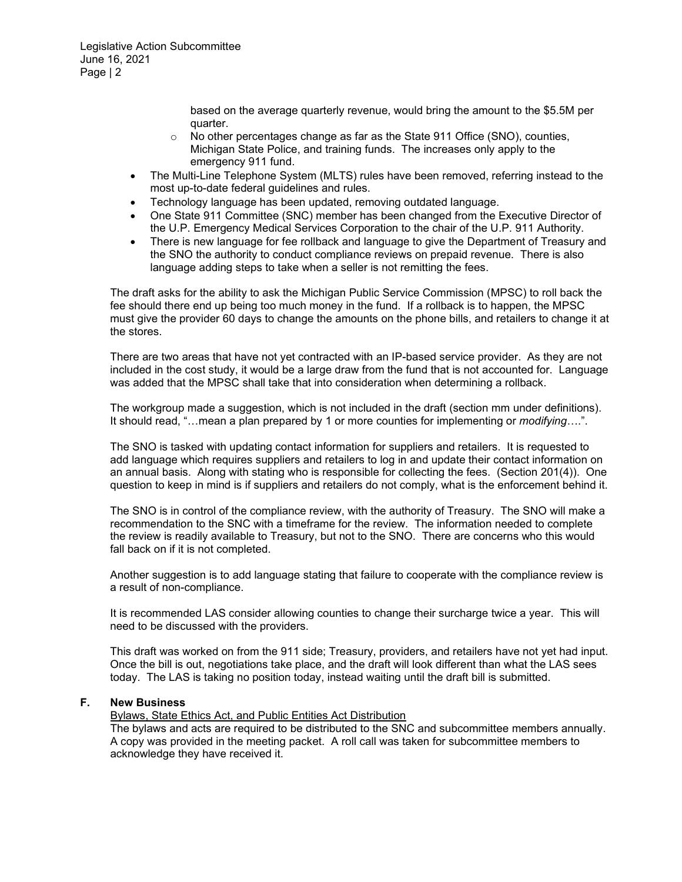based on the average quarterly revenue, would bring the amount to the \$5.5M per quarter.

- $\circ$  No other percentages change as far as the State 911 Office (SNO), counties, Michigan State Police, and training funds. The increases only apply to the emergency 911 fund.
- The Multi-Line Telephone System (MLTS) rules have been removed, referring instead to the most up-to-date federal guidelines and rules.
- Technology language has been updated, removing outdated language.
- One State 911 Committee (SNC) member has been changed from the Executive Director of the U.P. Emergency Medical Services Corporation to the chair of the U.P. 911 Authority.
- There is new language for fee rollback and language to give the Department of Treasury and the SNO the authority to conduct compliance reviews on prepaid revenue. There is also language adding steps to take when a seller is not remitting the fees.

The draft asks for the ability to ask the Michigan Public Service Commission (MPSC) to roll back the fee should there end up being too much money in the fund. If a rollback is to happen, the MPSC must give the provider 60 days to change the amounts on the phone bills, and retailers to change it at the stores.

There are two areas that have not yet contracted with an IP-based service provider. As they are not included in the cost study, it would be a large draw from the fund that is not accounted for. Language was added that the MPSC shall take that into consideration when determining a rollback.

The workgroup made a suggestion, which is not included in the draft (section mm under definitions). It should read, "…mean a plan prepared by 1 or more counties for implementing or *modifying*….".

The SNO is tasked with updating contact information for suppliers and retailers. It is requested to add language which requires suppliers and retailers to log in and update their contact information on an annual basis. Along with stating who is responsible for collecting the fees. (Section 201(4)). One question to keep in mind is if suppliers and retailers do not comply, what is the enforcement behind it.

The SNO is in control of the compliance review, with the authority of Treasury. The SNO will make a recommendation to the SNC with a timeframe for the review. The information needed to complete the review is readily available to Treasury, but not to the SNO. There are concerns who this would fall back on if it is not completed.

Another suggestion is to add language stating that failure to cooperate with the compliance review is a result of non-compliance.

It is recommended LAS consider allowing counties to change their surcharge twice a year. This will need to be discussed with the providers.

This draft was worked on from the 911 side; Treasury, providers, and retailers have not yet had input. Once the bill is out, negotiations take place, and the draft will look different than what the LAS sees today. The LAS is taking no position today, instead waiting until the draft bill is submitted.

#### **F. New Business**

Bylaws, State Ethics Act, and Public Entities Act Distribution

The bylaws and acts are required to be distributed to the SNC and subcommittee members annually. A copy was provided in the meeting packet. A roll call was taken for subcommittee members to acknowledge they have received it.